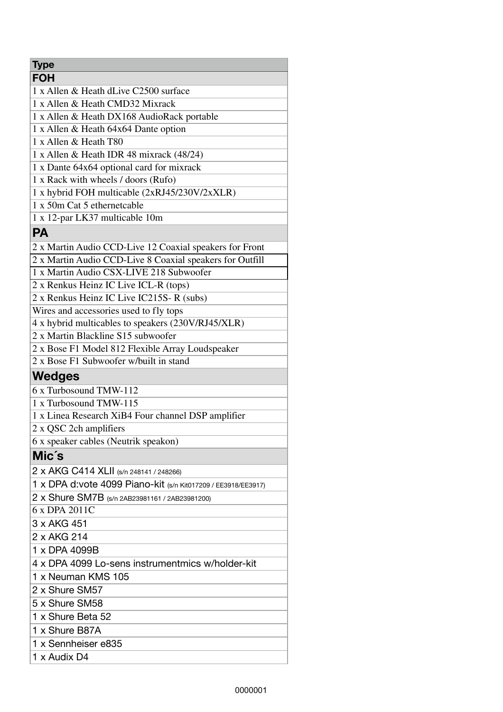| <b>Type</b>                                                   |
|---------------------------------------------------------------|
| <b>FOH</b>                                                    |
| 1 x Allen & Heath dLive C2500 surface                         |
| 1 x Allen & Heath CMD32 Mixrack                               |
| 1 x Allen & Heath DX168 AudioRack portable                    |
| 1 x Allen & Heath 64x64 Dante option                          |
| 1 x Allen & Heath T80                                         |
| 1 x Allen & Heath IDR 48 mixrack (48/24)                      |
| 1 x Dante 64x64 optional card for mixrack                     |
| 1 x Rack with wheels / doors (Rufo)                           |
| 1 x hybrid FOH multicable (2xRJ45/230V/2xXLR)                 |
| 1 x 50m Cat 5 ethernetcable                                   |
| 1 x 12-par LK37 multicable 10m                                |
| <b>PA</b>                                                     |
| 2 x Martin Audio CCD-Live 12 Coaxial speakers for Front       |
| 2 x Martin Audio CCD-Live 8 Coaxial speakers for Outfill      |
| 1 x Martin Audio CSX-LIVE 218 Subwoofer                       |
| 2 x Renkus Heinz IC Live ICL-R (tops)                         |
| 2 x Renkus Heinz IC Live IC215S-R (subs)                      |
| Wires and accessories used to fly tops                        |
| 4 x hybrid multicables to speakers (230V/RJ45/XLR)            |
| 2 x Martin Blackline S15 subwoofer                            |
| 2 x Bose F1 Model 812 Flexible Array Loudspeaker              |
| 2 x Bose F1 Subwoofer w/built in stand                        |
| <b>Wedges</b>                                                 |
| 6 x Turbosound TMW-112                                        |
| 1 x Turbosound TMW-115                                        |
| 1 x Linea Research XiB4 Four channel DSP amplifier            |
| 2 x QSC 2ch amplifiers                                        |
| 6 x speaker cables (Neutrik speakon)                          |
| Mic's                                                         |
| 2 x AKG C414 XLII (s/n 248141 / 248266)                       |
| 1 x DPA d:vote 4099 Piano-kit (s/n Kit017209 / EE3918/EE3917) |
| 2 x Shure SM7B (s/n 2AB23981161 / 2AB23981200)                |
| 6 x DPA 2011C                                                 |
| 3 x AKG 451                                                   |
| 2 x AKG 214                                                   |
| 1 x DPA 4099B                                                 |
| 4 x DPA 4099 Lo-sens instrumentmics w/holder-kit              |
| 1 x Neuman KMS 105                                            |
| 2 x Shure SM57                                                |
| 5 x Shure SM58                                                |
| 1 x Shure Beta 52                                             |
| 1 x Shure B87A                                                |
| 1 x Sennheiser e835                                           |
| 1 x Audix D4                                                  |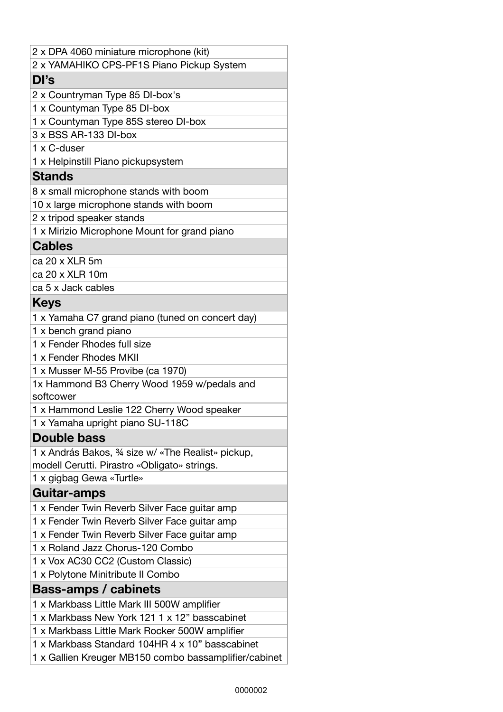| 2 x DPA 4060 miniature microphone (kit)               |
|-------------------------------------------------------|
| 2 x YAMAHIKO CPS-PF1S Piano Pickup System             |
| DI's                                                  |
| 2 x Countryman Type 85 DI-box's                       |
| 1 x Countyman Type 85 DI-box                          |
| 1 x Countyman Type 85S stereo DI-box                  |
| 3 x BSS AR-133 DI-box                                 |
| 1 x C-duser                                           |
| 1 x Helpinstill Piano pickupsystem                    |
| <b>Stands</b>                                         |
| 8 x small microphone stands with boom                 |
| 10 x large microphone stands with boom                |
| 2 x tripod speaker stands                             |
| 1 x Mirizio Microphone Mount for grand piano          |
| <b>Cables</b>                                         |
| ca 20 x XLR 5m                                        |
| ca 20 x XLR 10m                                       |
| ca 5 x Jack cables                                    |
| <b>Keys</b>                                           |
| 1 x Yamaha C7 grand piano (tuned on concert day)      |
| 1 x bench grand piano                                 |
| 1 x Fender Rhodes full size                           |
| 1 x Fender Rhodes MKII                                |
| 1 x Musser M-55 Provibe (ca 1970)                     |
| 1x Hammond B3 Cherry Wood 1959 w/pedals and           |
| softcower                                             |
| 1 x Hammond Leslie 122 Cherry Wood speaker            |
| 1 x Yamaha upright piano SU-118C                      |
| <b>Double bass</b>                                    |
| 1 x András Bakos, 34 size w/ «The Realist» pickup,    |
| modell Cerutti. Pirastro «Obligato» strings.          |
| 1 x gigbag Gewa «Turtle»                              |
| Guitar-amps                                           |
| 1 x Fender Twin Reverb Silver Face guitar amp         |
| 1 x Fender Twin Reverb Silver Face guitar amp         |
| 1 x Fender Twin Reverb Silver Face guitar amp         |
| 1 x Roland Jazz Chorus-120 Combo                      |
| 1 x Vox AC30 CC2 (Custom Classic)                     |
| 1 x Polytone Minitribute II Combo                     |
| <b>Bass-amps / cabinets</b>                           |
| 1 x Markbass Little Mark III 500W amplifier           |
| 1 x Markbass New York 121 1 x 12" basscabinet         |
| 1 x Markbass Little Mark Rocker 500W amplifier        |
| 1 x Markbass Standard 104HR 4 x 10" basscabinet       |
| 1 x Gallien Kreuger MB150 combo bassamplifier/cabinet |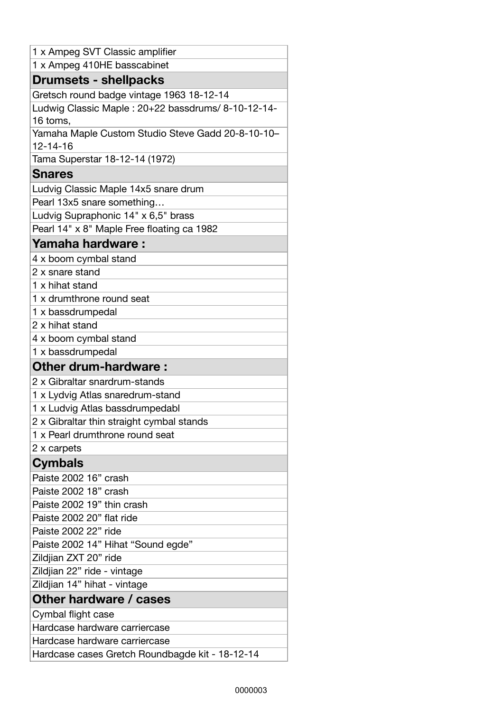| 1 x Ampeg SVT Classic amplifier                                     |
|---------------------------------------------------------------------|
| 1 x Ampeg 410HE basscabinet                                         |
| <b>Drumsets - shellpacks</b>                                        |
| Gretsch round badge vintage 1963 18-12-14                           |
| Ludwig Classic Maple: 20+22 bassdrums/ 8-10-12-14-<br>16 toms,      |
| Yamaha Maple Custom Studio Steve Gadd 20-8-10-10-<br>$12 - 14 - 16$ |
| Tama Superstar 18-12-14 (1972)                                      |
| <b>Snares</b>                                                       |
| Ludvig Classic Maple 14x5 snare drum                                |
| Pearl 13x5 snare something                                          |
| Ludvig Supraphonic 14" x 6,5" brass                                 |
| Pearl 14" x 8" Maple Free floating ca 1982                          |
| Yamaha hardware:                                                    |
| 4 x boom cymbal stand                                               |
| 2 x snare stand                                                     |
| 1 x hihat stand                                                     |
| 1 x drumthrone round seat                                           |
| 1 x bassdrumpedal                                                   |
| 2 x hihat stand                                                     |
| 4 x boom cymbal stand                                               |
| 1 x bassdrumpedal                                                   |
| <b>Other drum-hardware:</b>                                         |
| 2 x Gibraltar snardrum-stands                                       |
| 1 x Lydvig Atlas snaredrum-stand                                    |
| 1 x Ludvig Atlas bassdrumpedabl                                     |
| 2 x Gibraltar thin straight cymbal stands                           |
| 1 x Pearl drumthrone round seat                                     |
| 2 x carpets                                                         |
| <b>Cymbals</b>                                                      |
| Paiste 2002 16" crash                                               |
| Paiste 2002 18" crash                                               |
| Paiste 2002 19" thin crash                                          |
| Paiste 2002 20" flat ride                                           |
| Paiste 2002 22" ride                                                |
| Paiste 2002 14" Hihat "Sound egde"                                  |
| Zildjian ZXT 20" ride                                               |
| Zildjian 22" ride - vintage                                         |
| Zildjian 14" hihat - vintage                                        |
| Other hardware / cases                                              |
| Cymbal flight case                                                  |
| Hardcase hardware carriercase                                       |
| Hardcase hardware carriercase                                       |
| Hardcase cases Gretch Roundbagde kit - 18-12-14                     |